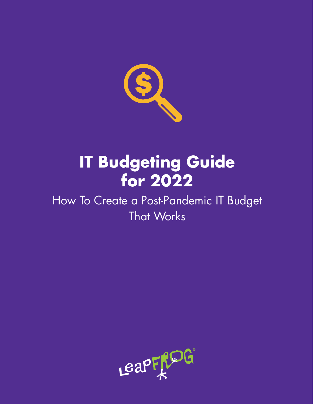

# **IT Budgeting Guide for 2022**

## How To Create a Post-Pandemic IT Budget That Works

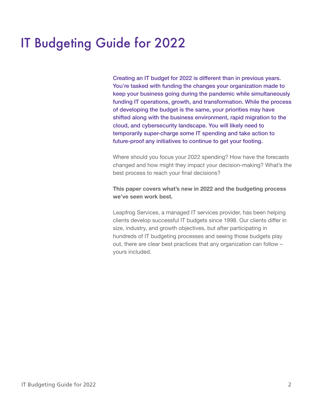## IT Budgeting Guide for 2022

Creating an IT budget for 2022 is different than in previous years. You're tasked with funding the changes your organization made to keep your business going during the pandemic while simultaneously funding IT operations, growth, and transformation. While the process of developing the budget is the same, your priorities may have shifted along with the business environment, rapid migration to the cloud, and cybersecurity landscape. You will likely need to temporarily super-charge some IT spending and take action to future-proof any initiatives to continue to get your footing.

Where should you focus your 2022 spending? How have the forecasts changed and how might they impact your decision-making? What's the best process to reach your final decisions?

#### **This paper covers what's new in 2022 and the budgeting process we've seen work best.**

Leapfrog Services, a managed IT services provider, has been helping clients develop successful IT budgets since 1998. Our clients differ in size, industry, and growth objectives, but after participating in hundreds of IT budgeting processes and seeing those budgets play out, there are clear best practices that any organization can follow – yours included.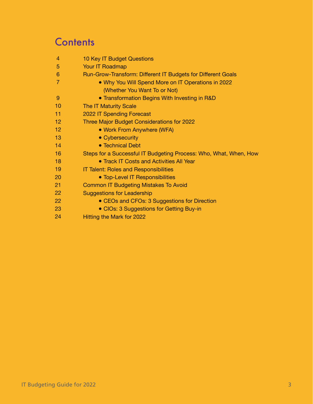## **Contents**

| 10 Key IT Budget Questions                                        |
|-------------------------------------------------------------------|
| Your IT Roadmap                                                   |
| Run-Grow-Transform: Different IT Budgets for Different Goals      |
| . Why You Will Spend More on IT Operations in 2022                |
| (Whether You Want To or Not)                                      |
| • Transformation Begins With Investing in R&D                     |
| <b>The IT Maturity Scale</b>                                      |
| 2022 IT Spending Forecast                                         |
| Three Major Budget Considerations for 2022                        |
| • Work From Anywhere (WFA)                                        |
| • Cybersecurity                                                   |
| • Technical Debt                                                  |
| Steps for a Successful IT Budgeting Process: Who, What, When, How |
| • Track IT Costs and Activities All Year                          |
| <b>IT Talent: Roles and Responsibilities</b>                      |
| • Top-Level IT Responsibilities                                   |
| <b>Common IT Budgeting Mistakes To Avoid</b>                      |
| <b>Suggestions for Leadership</b>                                 |
| • CEOs and CFOs: 3 Suggestions for Direction                      |
| • CIOs: 3 Suggestions for Getting Buy-in                          |
| Hitting the Mark for 2022                                         |
|                                                                   |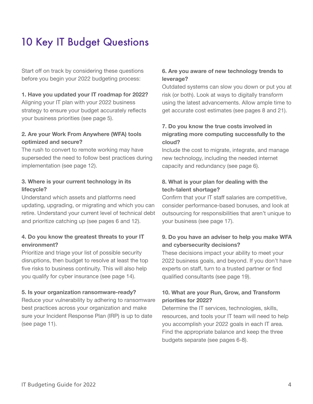## 10 Key IT Budget Questions

Start off on track by considering these questions before you begin your 2022 budgeting process:

#### **1. Have you updated your IT roadmap for 2022?**

Aligning your IT plan with your 2022 business strategy to ensure your budget accurately reflects your business priorities (see page 5).

### **2. Are your Work From Anywhere (WFA) tools optimized and secure?**

The rush to convert to remote working may have superseded the need to follow best practices during implementation (see page 12).

#### **3. Where is your current technology in its lifecycle?**

Understand which assets and platforms need updating, upgrading, or migrating and which you can retire. Understand your current level of technical debt and prioritize catching up (see pages 6 and 12).

### **4. Do you know the greatest threats to your IT environment?**

Prioritize and triage your list of possible security disruptions, then budget to resolve at least the top five risks to business continuity. This will also help you qualify for cyber insurance (see page 14).

#### **5. Is your organization ransomware-ready?**

Reduce your vulnerability by adhering to ransomware best practices across your organization and make sure your Incident Response Plan (IRP) is up to date (see page 11).

### **6. Are you aware of new technology trends to leverage?**

Outdated systems can slow you down or put you at risk (or both). Look at ways to digitally transform using the latest advancements. Allow ample time to get accurate cost estimates (see pages 8 and 21).

## **7. Do you know the true costs involved in migrating more computing successfully to the cloud?**

Include the cost to migrate, integrate, and manage new technology, including the needed internet capacity and redundancy (see page 6).

## **8. What is your plan for dealing with the tech-talent shortage?**

Confirm that your IT staff salaries are competitive, consider performance-based bonuses, and look at outsourcing for responsibilities that aren't unique to your business (see page 17).

## **9. Do you have an adviser to help you make WFA and cybersecurity decisions?**

These decisions impact your ability to meet your 2022 business goals, and beyond. If you don't have experts on staff, turn to a trusted partner or find qualified consultants (see page 19).

### **10. What are your Run, Grow, and Transform priorities for 2022?**

Determine the IT services, technologies, skills, resources, and tools your IT team will need to help you accomplish your 2022 goals in each IT area. Find the appropriate balance and keep the three budgets separate (see pages 6-8).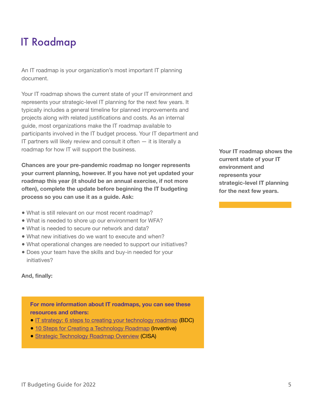## IT Roadmap

An IT roadmap is your organization's most important IT planning document.

Your IT roadmap shows the current state of your IT environment and represents your strategic-level IT planning for the next few years. It typically includes a general timeline for planned improvements and projects along with related justifications and costs. As an internal guide, most organizations make the IT roadmap available to participants involved in the IT budget process. Your IT department and IT partners will likely review and consult it often  $-$  it is literally a roadmap for how IT will support the business.

**Chances are your pre-pandemic roadmap no longer represents your current planning, however. If you have not yet updated your roadmap this year (it should be an annual exercise, if not more often), complete the update before beginning the IT budgeting process so you can use it as a guide. Ask:**

- What is still relevant on our most recent roadmap?
- What is needed to shore up our environment for WFA?
- What is needed to secure our network and data?
- What new initiatives do we want to execute and when?
- What operational changes are needed to support our initiatives?
- Does your team have the skills and buy-in needed for your initiatives?

**Your IT roadmap shows the current state of your IT environment and represents your strategic-level IT planning for the next few years.**

#### **And, finally:**

**For more information about IT roadmaps, you can see these resources and others:**

- [IT strategy: 6 steps to creating your technology roadmap](https://www.bdc.ca/en/articles-tools/blog/it-strategy-6-steps-creating-your-technology-roadmap) (BDC)
- • [10 Steps for Creating a Technology Roadmap](https://inventive.io/insights/10-steps-for-creating-a-technology-roadmap/) (Inventive)
- [Strategic Technology Roadmap Overview](https://www.cisa.gov/sites/default/files/publications/040521_STRv3-FINAL_508.pdf) (CISA)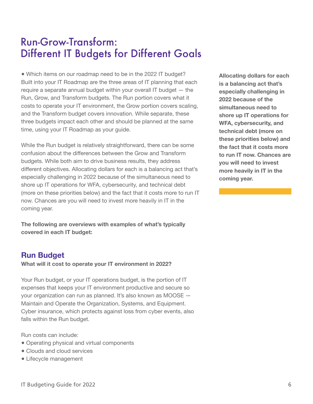## Run-Grow-Transform: Different IT Budgets for Different Goals

• Which items on our roadmap need to be in the 2022 IT budget? Built into your IT Roadmap are the three areas of IT planning that each require a separate annual budget within your overall IT budget — the Run, Grow, and Transform budgets. The Run portion covers what it costs to operate your IT environment, the Grow portion covers scaling, and the Transform budget covers innovation. While separate, these three budgets impact each other and should be planned at the same time, using your IT Roadmap as your guide.

While the Run budget is relatively straightforward, there can be some confusion about the differences between the Grow and Transform budgets. While both aim to drive business results, they address different objectives. Allocating dollars for each is a balancing act that's especially challenging in 2022 because of the simultaneous need to shore up IT operations for WFA, cybersecurity, and technical debt (more on these priorities below) and the fact that it costs more to run IT now. Chances are you will need to invest more heavily in IT in the coming year.

**The following are overviews with examples of what's typically covered in each IT budget:**

## **Run Budget**

**What will it cost to operate your IT environment in 2022?**

Your Run budget, or your IT operations budget, is the portion of IT expenses that keeps your IT environment productive and secure so your organization can run as planned. It's also known as MOOSE — Maintain and Operate the Organization, Systems, and Equipment. Cyber insurance, which protects against loss from cyber events, also falls within the Run budget.

Run costs can include:

- Operating physical and virtual components
- Clouds and cloud services
- Lifecycle management

**Allocating dollars for each is a balancing act that's especially challenging in 2022 because of the simultaneous need to shore up IT operations for WFA, cybersecurity, and technical debt (more on these priorities below) and the fact that it costs more to run IT now. Chances are you will need to invest more heavily in IT in the coming year.**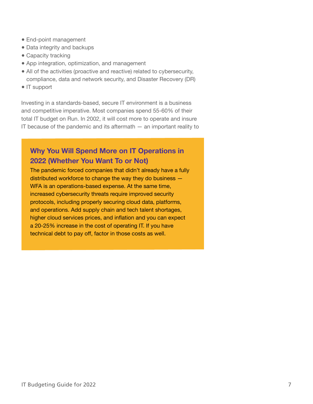- End-point management
- Data integrity and backups
- Capacity tracking
- App integration, optimization, and management
- All of the activities (proactive and reactive) related to cybersecurity, compliance, data and network security, and Disaster Recovery (DR)
- IT support

Investing in a standards-based, secure IT environment is a business and competitive imperative. Most companies spend 55-60% of their total IT budget on Run. In 2002, it will cost more to operate and insure IT because of the pandemic and its aftermath  $-$  an important reality to

## **Why You Will Spend More on IT Operations in 2022 (Whether You Want To or Not)**

The pandemic forced companies that didn't already have a fully distributed workforce to change the way they do business — WFA is an operations-based expense. At the same time, increased cybersecurity threats require improved security protocols, including properly securing cloud data, platforms, and operations. Add supply chain and tech talent shortages, higher cloud services prices, and inflation and you can expect a 20-25% increase in the cost of operating IT. If you have technical debt to pay off, factor in those costs as well.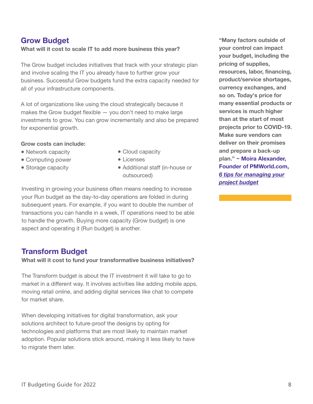## **Grow Budget**

**What will it cost to scale IT to add more business this year?**

The Grow budget includes initiatives that track with your strategic plan and involve scaling the IT you already have to further grow your business. Successful Grow budgets fund the extra capacity needed for all of your infrastructure components.

A lot of organizations like using the cloud strategically because it makes the Grow budget flexible — you don't need to make large investments to grow. You can grow incrementally and also be prepared for exponential growth.

#### **Grow costs can include:**

- Network capacity
- Computing power
- Storage capacity
- Cloud capacity
- Licenses
- Additional staff (in-house or outsourced)

Investing in growing your business often means needing to increase your Run budget as the day-to-day operations are folded in during subsequent years. For example, if you want to double the number of transactions you can handle in a week, IT operations need to be able to handle the growth. Buying more capacity (Grow budget) is one aspect and operating it (Run budget) is another.

## **Transform Budget**

**What will it cost to fund your transformative business initiatives?**

The Transform budget is about the IT investment it will take to go to market in a different way. It involves activities like adding mobile apps, moving retail online, and adding digital services like chat to compete for market share.

When developing initiatives for digital transformation, ask your solutions architect to future-proof the designs by opting for technologies and platforms that are most likely to maintain market adoption. Popular solutions stick around, making it less likely to have to migrate them later.

**"Many factors outside of your control can impact your budget, including the pricing of supplies, resources, labor, financing, product/service shortages, currency exchanges, and so on. Today's price for many essential products or services is much higher than at the start of most projects prior to COVID-19. Make sure vendors can deliver on their promises and prepare a back-up plan." ~ Moira Alexander, Founder of PMWorld.com,**  *[6 tips for managing your](https://www.cio.com/article/2406862/project-management-project-management-4-ways-to-manage-your-budget.html?nsdr=true)  project budget*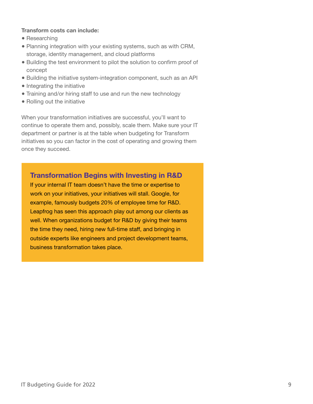#### **Transform costs can include:**

- Researching
- Planning integration with your existing systems, such as with CRM, storage, identity management, and cloud platforms
- Building the test environment to pilot the solution to confirm proof of concept
- Building the initiative system-integration component, such as an API
- Integrating the initiative
- Training and/or hiring staff to use and run the new technology
- Rolling out the initiative

When your transformation initiatives are successful, you'll want to continue to operate them and, possibly, scale them. Make sure your IT department or partner is at the table when budgeting for Transform initiatives so you can factor in the cost of operating and growing them once they succeed.

### **Transformation Begins with Investing in R&D**

If your internal IT team doesn't have the time or expertise to work on your initiatives, your initiatives will stall. Google, for example, famously budgets 20% of employee time for R&D. Leapfrog has seen this approach play out among our clients as well. When organizations budget for R&D by giving their teams the time they need, hiring new full-time staff, and bringing in outside experts like engineers and project development teams, business transformation takes place.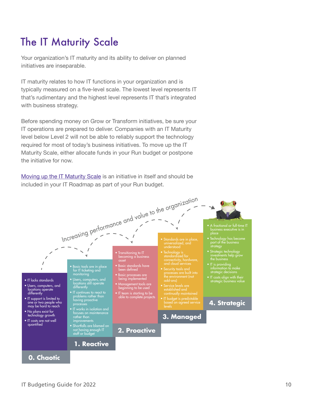## The IT Maturity Scale

Your organization's IT maturity and its ability to deliver on planned initiatives are inseparable.

IT maturity relates to how IT functions in your organization and is typically measured on a five-level scale. The lowest level represents IT that's rudimentary and the highest level represents IT that's integrated with business strategy.

Before spending money on Grow or Transform initiatives, be sure your IT operations are prepared to deliver. Companies with an IT Maturity level below Level 2 will not be able to reliably support the technology required for most of today's business initiatives. To move up the IT Maturity Scale, either allocate funds in your Run budget or postpone the initiative for now.

[Moving up the IT Maturity Scale](https://leapfrogservices.com/methodology/) is an initiative in itself and should be included in your IT Roadmap as part of your Run budget.

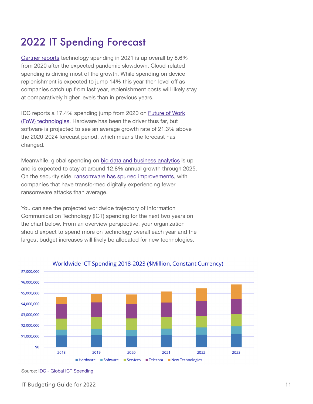## 2022 IT Spending Forecast

[Gartner reports](https://siliconangle.com/2021/07/14/gartner-sees-strong-bounceback-global-spending-led-cloud-devices/) technology spending in 2021 is up overall by 8.6% from 2020 after the expected pandemic slowdown. Cloud-related spending is driving most of the growth. While spending on device replenishment is expected to jump 14% this year then level off as companies catch up from last year, replenishment costs will likely stay at comparatively higher levels than in previous years.

IDC reports a 17.4% spending jump from 2020 on [Future of Work](https://www.idc.com/getdoc.jsp?containerId=prUS48040921)  [\(FoW\) technologies.](https://www.idc.com/getdoc.jsp?containerId=prUS48040921) Hardware has been the driver thus far, but software is projected to see an average growth rate of 21.3% above the 2020-2024 forecast period, which means the forecast has changed.

Meanwhile, global spending on [big data and business analytics](https://www.idc.com/getdoc.jsp?containerId=prUS48165721) is up and is expected to stay at around 12.8% annual growth through 2025. On the security side[, ransomware has spurred improvements,](https://www.idc.com/getdoc.jsp?containerId=prUS48159121) with companies that have transformed digitally experiencing fewer ransomware attacks than average.

You can see the projected worldwide trajectory of Information Communication Technology (ICT) spending for the next two years on the chart below. From an overview perspective, your organization should expect to spend more on technology overall each year and the largest budget increases will likely be allocated for new technologies.



### Worldwide ICT Spending 2018-2023 (\$Million, Constant Currency)

Source: [IDC - Global ICT Spending](https://www.idc.com/promo/global-ict-spending/forecast)

IT Budgeting Guide for 2022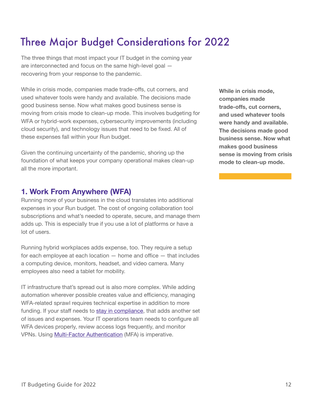## Three Major Budget Considerations for 2022

The three things that most impact your IT budget in the coming year are interconnected and focus on the same high-level goal recovering from your response to the pandemic.

While in crisis mode, companies made trade-offs, cut corners, and used whatever tools were handy and available. The decisions made good business sense. Now what makes good business sense is moving from crisis mode to clean-up mode. This involves budgeting for WFA or hybrid-work expenses, cybersecurity improvements (including cloud security), and technology issues that need to be fixed. All of these expenses fall within your Run budget.

Given the continuing uncertainty of the pandemic, shoring up the foundation of what keeps your company operational makes clean-up all the more important.

## **1. Work From Anywhere (WFA)**

Running more of your business in the cloud translates into additional expenses in your Run budget. The cost of ongoing collaboration tool subscriptions and what's needed to operate, secure, and manage them adds up. This is especially true if you use a lot of platforms or have a lot of users.

Running hybrid workplaces adds expense, too. They require a setup for each employee at each location — home and office — that includes a computing device, monitors, headset, and video camera. Many employees also need a tablet for mobility.

IT infrastructure that's spread out is also more complex. While adding automation wherever possible creates value and efficiency, managing WFA-related sprawl requires technical expertise in addition to more funding. If your staff needs to [stay in compliance,](https://leapfrogservices.com/how-to-stay-in-compliance-when-employees-work-from-home-or-from-anywhere/) that adds another set of issues and expenses. Your IT operations team needs to configure all WFA devices properly, review access logs frequently, and monitor VPNs. Using [Multi-Factor Authentication \(](https://leapfrogservices.com/mfa-during-coronavirus-8-ways-to-be-more-secure/)MFA) is imperative.

**While in crisis mode, companies made trade-offs, cut corners, and used whatever tools were handy and available. The decisions made good business sense. Now what makes good business sense is moving from crisis mode to clean-up mode.**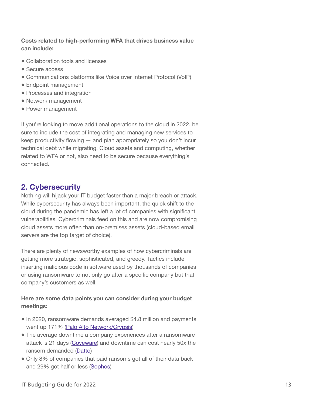## **Costs related to high-performing WFA that drives business value can include:**

- Collaboration tools and licenses
- Secure access
- Communications platforms like Voice over Internet Protocol (VoIP)
- Endpoint management
- Processes and integration
- Network management
- Power management

If you're looking to move additional operations to the cloud in 2022, be sure to include the cost of integrating and managing new services to keep productivity flowing — and plan appropriately so you don't incur technical debt while migrating. Cloud assets and computing, whether related to WFA or not, also need to be secure because everything's connected.

## **2. Cybersecurity**

Nothing will hijack your IT budget faster than a major breach or attack. While cybersecurity has always been important, the quick shift to the cloud during the pandemic has left a lot of companies with significant vulnerabilities. Cybercriminals feed on this and are now compromising cloud assets more often than on-premises assets (cloud-based email servers are the top target of choice).

There are plenty of newsworthy examples of how cybercriminals are getting more strategic, sophisticated, and greedy. Tactics include inserting malicious code in software used by thousands of companies or using ransomware to not only go after a specific company but that company's customers as well.

## **Here are some data points you can consider during your budget meetings:**

- In 2020, ransomware demands averaged \$4.8 million and payments went up 171[% \(Palo Alto Network/Crypsis](https://unit42.paloaltonetworks.com/ransomware-threat-report-highlights/))
- The average downtime a company experiences after a ransomware attack is 21 days ([Coveware](https://www.coveware.com/blog/ransomware-marketplace-report-q4-2020)) and downtime can cost nearly 50x the ransom demanded [\(Datto\)](https://www.businesswire.com/news/home/20201117005156/en/)
- Only 8% of companies that paid ransoms got all of their data back and 29% got half or less ([Sophos\)](https://www.sophos.com/en-us/press-office/press-releases/2021/04/ransomware-recovery-cost-reaches-nearly-dollar-2-million-more-than-doubling-in-a-year.aspx#%3A%7E%3Atext%3DOXFORD%2C%20U.K.%20%E2%80%93%20April%2027%2C%2Cfrom%20%24761%2C106%20in%202020%20to)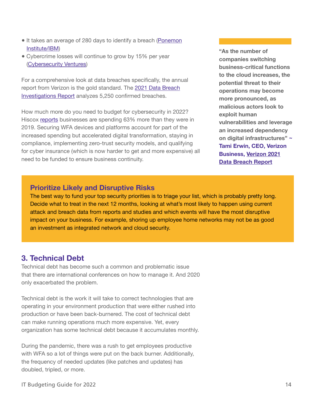- It takes an average of 280 days to identify a breach (Ponemon [Institute/IBM](https://www.ibm.com/account/reg/us-en/signup?formid=urx-46542))
- Cybercrime losses will continue to grow by 15% per year ([Cybersecurity Ventures](https://cybersecurityventures.com/hackerpocalypse-cybercrime-report-2016/))

For a comprehensive look at data breaches specifically, the annual report from Verizon is the gold standard. Th[e 2021 Data Breach](https://www.verizon.com/business/resources/reports/dbir/)  [Investigations Report](https://www.verizon.com/business/resources/reports/dbir/) analyzes 5,250 confirmed breaches.

How much more do you need to budget for cybersecurity in 2022? Hisco[x reports](https://www.hiscox.co.uk/cyberreadiness) businesses are spending 63% more than they were in 2019. Securing WFA devices and platforms account for part of the increased spending but accelerated digital transformation, staying in compliance, implementing zero-trust security models, and qualifying for cyber insurance (which is now harder to get and more expensive) all need to be funded to ensure business continuity.

**"As the number of companies switching business-critical functions to the cloud increases, the potential threat to their operations may become more pronounced, as malicious actors look to exploit human vulnerabilities and leverage an increased dependency on digital infrastructures" ~ Tami Erwin, CEO, Verizon [Business, Verizon 2021](https://www.verizon.com/business/resources/reports/dbir/)  Data Breach Report**

## **Prioritize Likely and Disruptive Risks**

The best way to fund your top security priorities is to triage your list, which is probably pretty long. Decide what to treat in the next 12 months, looking at what's most likely to happen using current attack and breach data from reports and studies and which events will have the most disruptive impact on your business. For example, shoring up employee home networks may not be as good an investment as integrated network and cloud security.

## **3. Technical Debt**

Technical debt has become such a common and problematic issue that there are international conferences on how to manage it. And 2020 only exacerbated the problem.

Technical debt is the work it will take to correct technologies that are operating in your environment production that were either rushed into production or have been back-burnered. The cost of technical debt can make running operations much more expensive. Yet, every organization has some technical debt because it accumulates monthly.

During the pandemic, there was a rush to get employees productive with WFA so a lot of things were put on the back burner. Additionally, the frequency of needed updates (like patches and updates) has doubled, tripled, or more.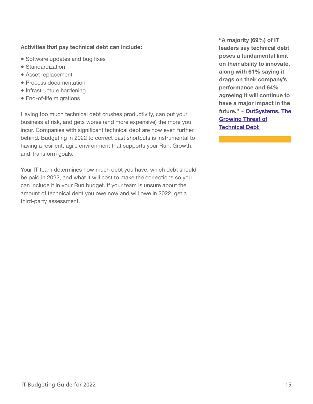#### **Activities that pay technical debt can include:**

- Software updates and bug fixes
- Standardization
- Asset replacement
- Process documentation
- Infrastructure hardening
- End-of-life migrations

Having too much technical debt crushes productivity, can put your business at risk, and gets worse (and more expensive) the more you incur. Companies with significant technical debt are now even further behind. Budgeting in 2022 to correct past shortcuts is instrumental to having a resilient, agile environment that supports your Run, Growth, and Transform goals.

Your IT team determines how much debt you have, which debt should be paid in 2022, and what it will cost to make the corrections so you can include it in your Run budget. If your team is unsure about the amount of technical debt you owe now and will owe in 2022, get a third-party assessment.

**"A majority (69%) of IT leaders say technical debt poses a fundamental limit on their ability to innovate, along with 61% saying it drags on their company's performance and 64% agreeing it will continue to have a major impact in the [future." ~ OutSystems, The](https://www.outsystems.com/1/growing-threat-technical-debt/)  Growing Threat of Technical Debt**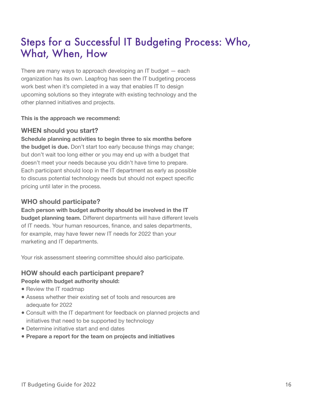## Steps for a Successful IT Budgeting Process: Who, What, When, How

There are many ways to approach developing an IT budget  $-$  each organization has its own. Leapfrog has seen the IT budgeting process work best when it's completed in a way that enables IT to design upcoming solutions so they integrate with existing technology and the other planned initiatives and projects.

**This is the approach we recommend:** 

### **WHEN should you start?**

**Schedule planning activities to begin three to six months before the budget is due.** Don't start too early because things may change; but don't wait too long either or you may end up with a budget that doesn't meet your needs because you didn't have time to prepare. Each participant should loop in the IT department as early as possible to discuss potential technology needs but should not expect specific pricing until later in the process.

## **WHO should participate?**

## **Each person with budget authority should be involved in the IT budget planning team.** Different departments will have different levels of IT needs. Your human resources, finance, and sales departments, for example, may have fewer new IT needs for 2022 than your marketing and IT departments.

Your risk assessment steering committee should also participate.

## **HOW should each participant prepare? People with budget authority should:**

- Review the IT roadmap
- Assess whether their existing set of tools and resources are adequate for 2022
- Consult with the IT department for feedback on planned projects and initiatives that need to be supported by technology
- Determine initiative start and end dates
- **Prepare a report for the team on projects and initiatives**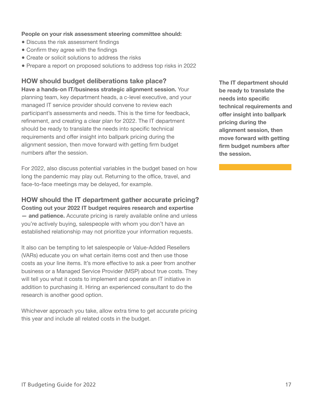#### **People on your risk assessment steering committee should:**

- Discuss the risk assessment findings
- Confirm they agree with the findings
- Create or solicit solutions to address the risks
- Prepare a report on proposed solutions to address top risks in 2022

**HOW should budget deliberations take place?**

**Have a hands-on IT/business strategic alignment session.** Your planning team, key department heads, a c-level executive, and your managed IT service provider should convene to review each participant's assessments and needs. This is the time for feedback, refinement, and creating a clear plan for 2022. The IT department should be ready to translate the needs into specific technical requirements and offer insight into ballpark pricing during the alignment session, then move forward with getting firm budget numbers after the session.

For 2022, also discuss potential variables in the budget based on how long the pandemic may play out. Returning to the office, travel, and face-to-face meetings may be delayed, for example.

**HOW should the IT department gather accurate pricing?**

**Costing out your 2022 IT budget requires research and expertise — and patience.** Accurate pricing is rarely available online and unless you're actively buying, salespeople with whom you don't have an established relationship may not prioritize your information requests.

It also can be tempting to let salespeople or Value-Added Resellers (VARs) educate you on what certain items cost and then use those costs as your line items. It's more effective to ask a peer from another business or a Managed Service Provider (MSP) about true costs. They will tell you what it costs to implement and operate an IT initiative in addition to purchasing it. Hiring an experienced consultant to do the research is another good option.

Whichever approach you take, allow extra time to get accurate pricing this year and include all related costs in the budget.

**The IT department should be ready to translate the needs into specific technical requirements and offer insight into ballpark pricing during the alignment session, then move forward with getting firm budget numbers after the session.**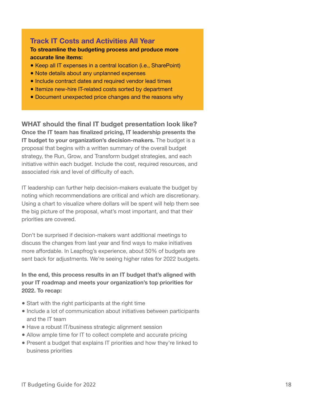## **Track IT Costs and Activities All Year**

#### **To streamline the budgeting process and produce more accurate line items:**

- Keep all IT expenses in a central location (i.e., SharePoint)
- Note details about any unplanned expenses
- Include contract dates and required vendor lead times
- Itemize new-hire IT-related costs sorted by department
- Document unexpected price changes and the reasons why

**WHAT should the final IT budget presentation look like? Once the IT team has finalized pricing, IT leadership presents the IT budget to your organization's decision-makers.** The budget is a proposal that begins with a written summary of the overall budget strategy, the Run, Grow, and Transform budget strategies, and each initiative within each budget. Include the cost, required resources, and associated risk and level of difficulty of each.

IT leadership can further help decision-makers evaluate the budget by noting which recommendations are critical and which are discretionary. Using a chart to visualize where dollars will be spent will help them see the big picture of the proposal, what's most important, and that their priorities are covered.

Don't be surprised if decision-makers want additional meetings to discuss the changes from last year and find ways to make initiatives more affordable. In Leapfrog's experience, about 50% of budgets are sent back for adjustments. We're seeing higher rates for 2022 budgets.

**In the end, this process results in an IT budget that's aligned with your IT roadmap and meets your organization's top priorities for 2022. To recap:**

- Start with the right participants at the right time
- Include a lot of communication about initiatives between participants and the IT team
- Have a robust IT/business strategic alignment session
- Allow ample time for IT to collect complete and accurate pricing
- Present a budget that explains IT priorities and how they're linked to business priorities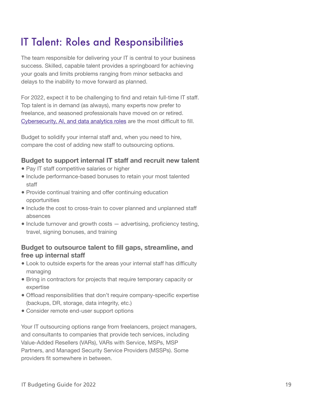## IT Talent: Roles and Responsibilities

The team responsible for delivering your IT is central to your business success. Skilled, capable talent provides a springboard for achieving your goals and limits problems ranging from minor setbacks and delays to the inability to move forward as planned.

For 2022, expect it to be challenging to find and retain full-time IT staff. Top talent is in demand (as always), many experts now prefer to freelance, and seasoned professionals have moved on or retired. [Cybersecurity, AI, and data analytics roles](https://www.cio.com/article/3279767/10-most-difficult-it-jobs-for-employers-to-fill.html) are the most difficult to fill.

Budget to solidify your internal staff and, when you need to hire, compare the cost of adding new staff to outsourcing options.

## **Budget to support internal IT staff and recruit new talent**

- Pay IT staff competitive salaries or higher
- Include performance-based bonuses to retain your most talented staff
- Provide continual training and offer continuing education opportunities
- Include the cost to cross-train to cover planned and unplanned staff absences
- Include turnover and growth costs advertising, proficiency testing, travel, signing bonuses, and training

## **Budget to outsource talent to fill gaps, streamline, and free up internal staff**

- Look to outside experts for the areas your internal staff has difficulty managing
- Bring in contractors for projects that require temporary capacity or expertise
- Offload responsibilities that don't require company-specific expertise (backups, DR, storage, data integrity, etc.)
- Consider remote end-user support options

Your IT outsourcing options range from freelancers, project managers, and consultants to companies that provide tech services, including Value-Added Resellers (VARs), VARs with Service, MSPs, MSP Partners, and Managed Security Service Providers (MSSPs). Some providers fit somewhere in between.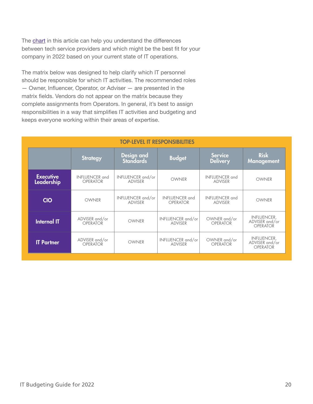The chart in this article can help you understand the differences between tech service providers and which might be the best fit for your company in 2022 based on your current state of IT operations.

The matrix below was designed to help clarify which IT personnel should be responsible for which IT activities. The recommended roles — Owner, Influencer, Operator, or Adviser — are presented in the matrix fields. Vendors do not appear on the matrix because they complete assignments from Operators. In general, it's best to assign responsibilities in a way that simplifies IT activities and budgeting and keeps everyone working within their areas of expertise.

| <b>TOP-LEVEL IT RESPONSIBILITIES</b> |                                |                                   |                                     |                                          |                                         |                                                         |  |
|--------------------------------------|--------------------------------|-----------------------------------|-------------------------------------|------------------------------------------|-----------------------------------------|---------------------------------------------------------|--|
|                                      |                                | Strategy                          | Design and<br><b>Standards</b>      | <b>Budget</b>                            | <b>Service</b><br><b>Delivery</b>       | <b>Risk</b><br><b>Management</b>                        |  |
|                                      | <b>Executive</b><br>Leadership | <b>INFLUENCER</b> and<br>OPERATOR | INFLUENCER and/or<br><b>ADVISER</b> | <b>OWNER</b>                             | <b>INFLUENCER</b> and<br><b>ADVISER</b> | <b>OWNER</b>                                            |  |
|                                      | <b>CIO</b>                     | <b>OWNER</b>                      | INFLUENCER and/or<br><b>ADVISER</b> | <b>INFLUENCER</b> and<br><b>OPERATOR</b> | <b>INFLUENCER</b> and<br><b>ADVISER</b> | OWNER                                                   |  |
|                                      | <b>Internal IT</b>             | ADVISER and/or<br>OPERATOR        | <b>OWNER</b>                        | INFLUENCER and/or<br><b>ADVISER</b>      | OWNER and/or<br><b>OPERATOR</b>         | <b>INFLUENCER,</b><br>ADVISER and/or<br><b>OPERATOR</b> |  |
|                                      | <b>IT Partner</b>              | ADVISER and/or<br><b>OPERATOR</b> | <b>OWNER</b>                        | INFLUENCER and/or<br><b>ADVISER</b>      | OWNER and/or<br><b>OPERATOR</b>         | <b>INFLUENCER,</b><br>ADVISER and/or<br><b>OPERATOR</b> |  |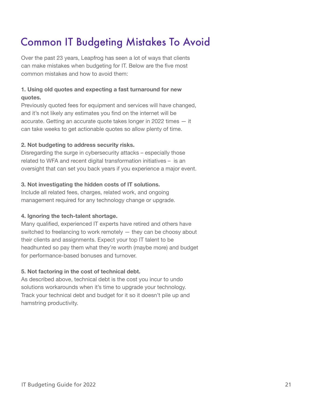## Common IT Budgeting Mistakes To Avoid

Over the past 23 years, Leapfrog has seen a lot of ways that clients can make mistakes when budgeting for IT. Below are the five most common mistakes and how to avoid them:

## **1. Using old quotes and expecting a fast turnaround for new quotes.**

Previously quoted fees for equipment and services will have changed, and it's not likely any estimates you find on the internet will be accurate. Getting an accurate quote takes longer in 2022 times — it can take weeks to get actionable quotes so allow plenty of time.

### **2. Not budgeting to address security risks.**

Disregarding the surge in cybersecurity attacks – especially those related to WFA and recent digital transformation initiatives – is an oversight that can set you back years if you experience a major event.

### **3. Not investigating the hidden costs of IT solutions.**

Include all related fees, charges, related work, and ongoing management required for any technology change or upgrade.

### **4. Ignoring the tech-talent shortage.**

Many qualified, experienced IT experts have retired and others have switched to freelancing to work remotely — they can be choosy about their clients and assignments. Expect your top IT talent to be headhunted so pay them what they're worth (maybe more) and budget for performance-based bonuses and turnover.

### **5. Not factoring in the cost of technical debt.**

As described above, technical debt is the cost you incur to undo solutions workarounds when it's time to upgrade your technology. Track your technical debt and budget for it so it doesn't pile up and hamstring productivity.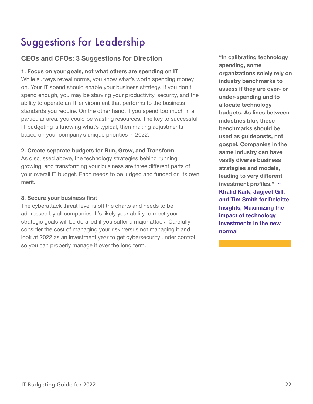## Suggestions for Leadership

## **CEOs and CFOs: 3 Suggestions for Direction**

## **1. Focus on your goals, not what others are spending on IT**

While surveys reveal norms, you know what's worth spending money on. Your IT spend should enable your business strategy. If you don't spend enough, you may be starving your productivity, security, and the ability to operate an IT environment that performs to the business standards you require. On the other hand, if you spend too much in a particular area, you could be wasting resources. The key to successful IT budgeting is knowing what's typical, then making adjustments based on your company's unique priorities in 2022.

### **2. Create separate budgets for Run, Grow, and Transform**

As discussed above, the technology strategies behind running, growing, and transforming your business are three different parts of your overall IT budget. Each needs to be judged and funded on its own merit.

### **3. Secure your business first**

The cyberattack threat level is off the charts and needs to be addressed by all companies. It's likely your ability to meet your strategic goals will be derailed if you suffer a major attack. Carefully consider the cost of managing your risk versus not managing it and look at 2022 as an investment year to get cybersecurity under control so you can properly manage it over the long term.

**"In calibrating technology spending, some organizations solely rely on industry benchmarks to assess if they are over- or under-spending and to allocate technology budgets. As lines between industries blur, these benchmarks should be used as guideposts, not gospel. Companies in the same industry can have vastly diverse business strategies and models, leading to very different investment profiles." ~ Khalid Kark, Jagjeet Gill, and Tim Smith for Deloitte [Insights, Maximizing the](https://www2.deloitte.com/xe/en/insights/focus/cio-insider-business-insights/impact-covid-19-technology-investments-budgets-spending.html)  impact of technology investments in the new normal**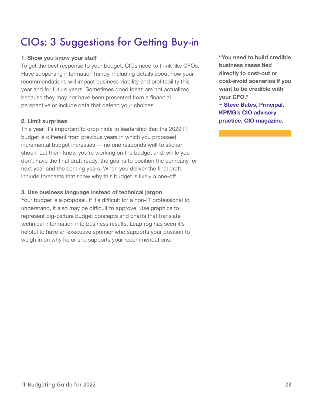## CIOs: 3 Suggestions for Getting Buy-in

### **1. Show you know your stuff**

To get the best response to your budget, CIOs need to think like CFOs. Have supporting information handy, including details about how your recommendations will impact business viability and profitability this year and for future years. Sometimes good ideas are not actualized because they may not have been presented from a financial perspective or include data that defend your choices.

### **2. Limit surprises**

This year, it's important to drop hints to leadership that the 2022 IT budget is different from previous years in which you proposed incremental budget increases — no one responds well to sticker shock. Let them know you're working on the budget and, while you don't have the final draft ready, the goal is to position the company for next year and the coming years. When you deliver the final draft, include forecasts that show why this budget is likely a one-off.

### **3. Use business language instead of technical jargon**

Your budget is a proposal. If it's difficult for a non-IT professional to understand, it also may be difficult to approve. Use graphics to represent big-picture budget concepts and charts that translate technical information into business results. Leapfrog has seen it's helpful to have an executive sponsor who supports your position to weigh in on why he or she supports your recommendations.

**"You need to build credible business cases tied directly to cost-out or cost-avoid scenarios if you want to be credible with your CFO."**

**~ Steve Bates, Principal, KPMG's CIO advisory practice, [CIO magazine.](http://view.ceros.com/idg/spring-issue/p/12)**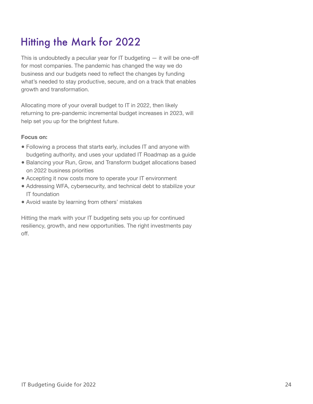## Hitting the Mark for 2022

This is undoubtedly a peculiar year for  $IT$  budgeting  $-$  it will be one-off for most companies. The pandemic has changed the way we do business and our budgets need to reflect the changes by funding what's needed to stay productive, secure, and on a track that enables growth and transformation.

Allocating more of your overall budget to IT in 2022, then likely returning to pre-pandemic incremental budget increases in 2023, will help set you up for the brightest future.

#### **Focus on:**

- Following a process that starts early, includes IT and anyone with budgeting authority, and uses your updated IT Roadmap as a guide
- Balancing your Run, Grow, and Transform budget allocations based on 2022 business priorities
- Accepting it now costs more to operate your IT environment
- Addressing WFA, cybersecurity, and technical debt to stabilize your IT foundation
- Avoid waste by learning from others' mistakes

Hitting the mark with your IT budgeting sets you up for continued resiliency, growth, and new opportunities. The right investments pay off.